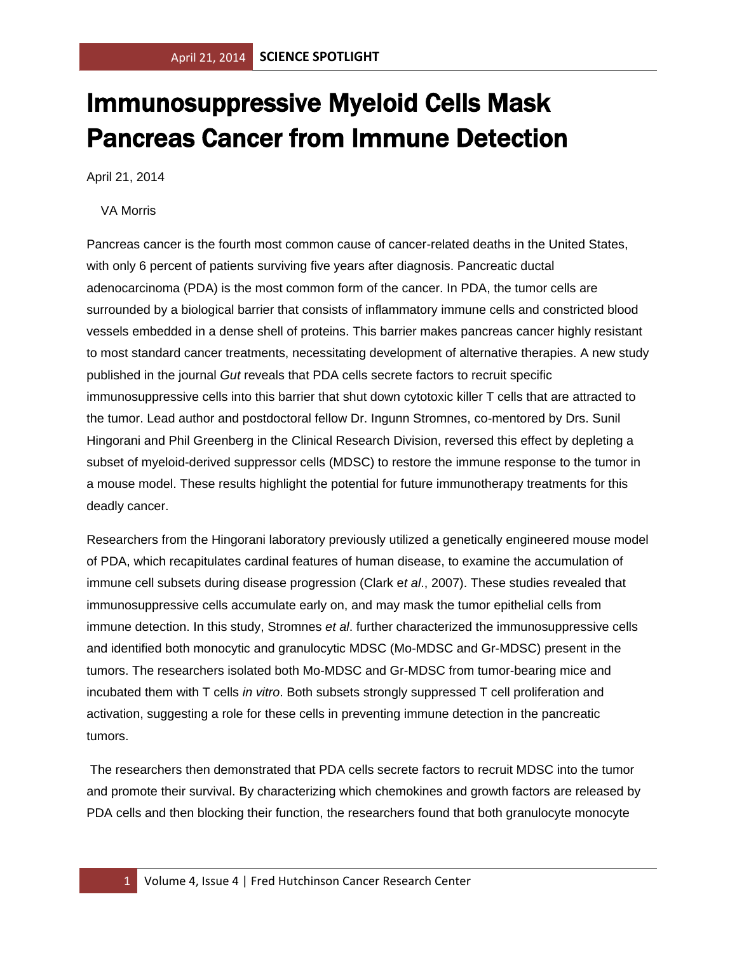## Immunosuppressive Myeloid Cells Mask Pancreas Cancer from Immune Detection

April 21, 2014

## VA Morris

Pancreas cancer is the fourth most common cause of cancer-related deaths in the United States, with only 6 percent of patients surviving five years after diagnosis. Pancreatic ductal adenocarcinoma (PDA) is the most common form of the cancer. In PDA, the tumor cells are surrounded by a biological barrier that consists of inflammatory immune cells and constricted blood vessels embedded in a dense shell of proteins. This barrier makes pancreas cancer highly resistant to most standard cancer treatments, necessitating development of alternative therapies. A new study published in the journal *Gut* reveals that PDA cells secrete factors to recruit specific immunosuppressive cells into this barrier that shut down cytotoxic killer T cells that are attracted to the tumor. Lead author and postdoctoral fellow Dr. Ingunn Stromnes, co-mentored by Drs. Sunil Hingorani and Phil Greenberg in the Clinical Research Division, reversed this effect by depleting a subset of myeloid-derived suppressor cells (MDSC) to restore the immune response to the tumor in a mouse model. These results highlight the potential for future immunotherapy treatments for this deadly cancer.

Researchers from the Hingorani laboratory previously utilized a genetically engineered mouse model of PDA, which recapitulates cardinal features of human disease, to examine the accumulation of immune cell subsets during disease progression (Clark e*t al*., 2007). These studies revealed that immunosuppressive cells accumulate early on, and may mask the tumor epithelial cells from immune detection. In this study, Stromnes *et al*. further characterized the immunosuppressive cells and identified both monocytic and granulocytic MDSC (Mo-MDSC and Gr-MDSC) present in the tumors. The researchers isolated both Mo-MDSC and Gr-MDSC from tumor-bearing mice and incubated them with T cells *in vitro*. Both subsets strongly suppressed T cell proliferation and activation, suggesting a role for these cells in preventing immune detection in the pancreatic tumors.

The researchers then demonstrated that PDA cells secrete factors to recruit MDSC into the tumor and promote their survival. By characterizing which chemokines and growth factors are released by PDA cells and then blocking their function, the researchers found that both granulocyte monocyte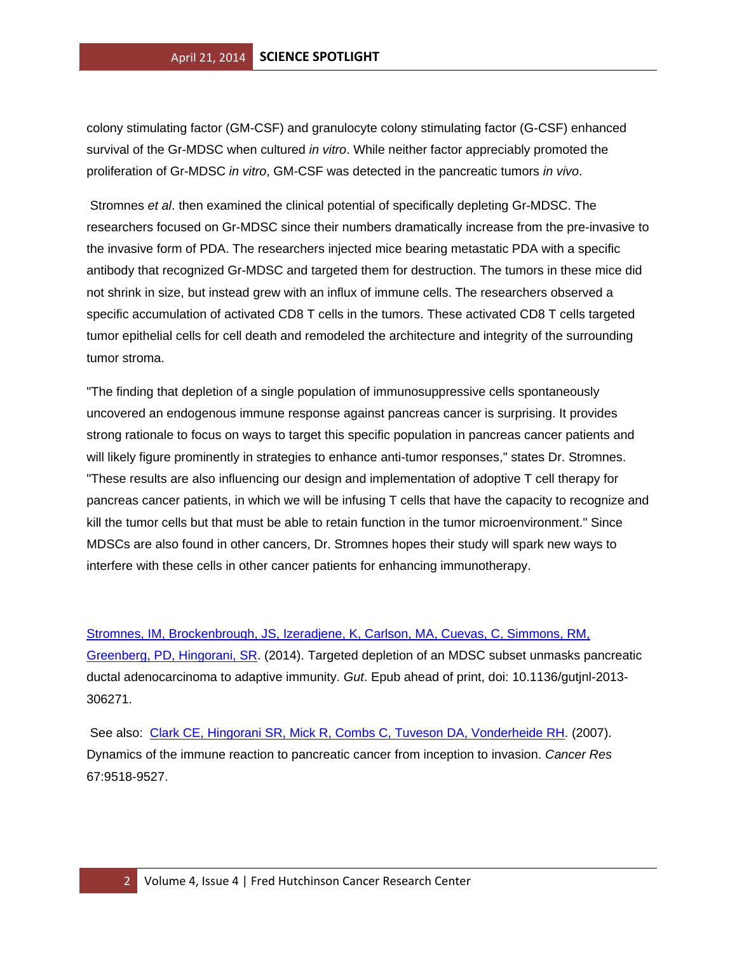colony stimulating factor (GM-CSF) and granulocyte colony stimulating factor (G-CSF) enhanced survival of the Gr-MDSC when cultured *in vitro*. While neither factor appreciably promoted the proliferation of Gr-MDSC *in vitro*, GM-CSF was detected in the pancreatic tumors *in vivo*.

Stromnes *et al*. then examined the clinical potential of specifically depleting Gr-MDSC. The researchers focused on Gr-MDSC since their numbers dramatically increase from the pre-invasive to the invasive form of PDA. The researchers injected mice bearing metastatic PDA with a specific antibody that recognized Gr-MDSC and targeted them for destruction. The tumors in these mice did not shrink in size, but instead grew with an influx of immune cells. The researchers observed a specific accumulation of activated CD8 T cells in the tumors. These activated CD8 T cells targeted tumor epithelial cells for cell death and remodeled the architecture and integrity of the surrounding tumor stroma.

"The finding that depletion of a single population of immunosuppressive cells spontaneously uncovered an endogenous immune response against pancreas cancer is surprising. It provides strong rationale to focus on ways to target this specific population in pancreas cancer patients and will likely figure prominently in strategies to enhance anti-tumor responses," states Dr. Stromnes. "These results are also influencing our design and implementation of adoptive T cell therapy for pancreas cancer patients, in which we will be infusing T cells that have the capacity to recognize and kill the tumor cells but that must be able to retain function in the tumor microenvironment." Since MDSCs are also found in other cancers, Dr. Stromnes hopes their study will spark new ways to interfere with these cells in other cancer patients for enhancing immunotherapy.

[Stromnes, IM, Brockenbrough, JS, Izeradjene, K, Carlson, MA, Cuevas, C, Simmons, RM,](http://www.ncbi.nlm.nih.gov/pubmed/24555999?otool=fhcrclib)  [Greenberg, PD, Hingorani, SR.](http://www.ncbi.nlm.nih.gov/pubmed/24555999?otool=fhcrclib) (2014). Targeted depletion of an MDSC subset unmasks pancreatic ductal adenocarcinoma to adaptive immunity. *Gut*. Epub ahead of print, doi: 10.1136/gutjnl-2013- 306271.

See also: [Clark CE, Hingorani SR, Mick R, Combs C, Tuveson DA, Vonderheide RH.](http://www.ncbi.nlm.nih.gov/pubmed/17909062?otool=fhcrclib) (2007). Dynamics of the immune reaction to pancreatic cancer from inception to invasion. *Cancer Res* 67:9518-9527.